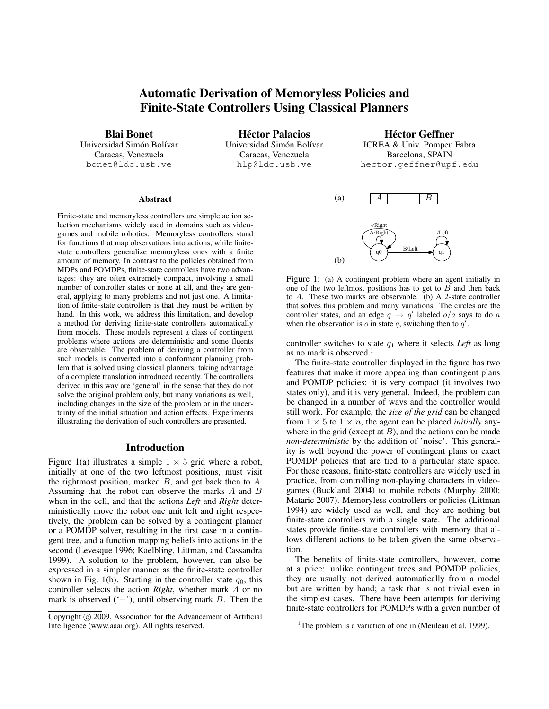# Automatic Derivation of Memoryless Policies and Finite-State Controllers Using Classical Planners

Blai Bonet

Universidad Simón Bolívar Caracas, Venezuela bonet@ldc.usb.ve

**Héctor Palacios** Universidad Simón Bolívar Caracas, Venezuela hlp@ldc.usb.ve

Héctor Geffner ICREA & Univ. Pompeu Fabra Barcelona, SPAIN hector.geffner@upf.edu

#### Abstract

Finite-state and memoryless controllers are simple action selection mechanisms widely used in domains such as videogames and mobile robotics. Memoryless controllers stand for functions that map observations into actions, while finitestate controllers generalize memoryless ones with a finite amount of memory. In contrast to the policies obtained from MDPs and POMDPs, finite-state controllers have two advantages: they are often extremely compact, involving a small number of controller states or none at all, and they are general, applying to many problems and not just one. A limitation of finite-state controllers is that they must be written by hand. In this work, we address this limitation, and develop a method for deriving finite-state controllers automatically from models. These models represent a class of contingent problems where actions are deterministic and some fluents are observable. The problem of deriving a controller from such models is converted into a conformant planning problem that is solved using classical planners, taking advantage of a complete translation introduced recently. The controllers derived in this way are 'general' in the sense that they do not solve the original problem only, but many variations as well, including changes in the size of the problem or in the uncertainty of the initial situation and action effects. Experiments illustrating the derivation of such controllers are presented.

### Introduction

Figure 1(a) illustrates a simple  $1 \times 5$  grid where a robot, initially at one of the two leftmost positions, must visit the rightmost position, marked  $B$ , and get back then to  $A$ . Assuming that the robot can observe the marks A and B when in the cell, and that the actions *Left* and *Right* deterministically move the robot one unit left and right respectively, the problem can be solved by a contingent planner or a POMDP solver, resulting in the first case in a contingent tree, and a function mapping beliefs into actions in the second (Levesque 1996; Kaelbling, Littman, and Cassandra 1999). A solution to the problem, however, can also be expressed in a simpler manner as the finite-state controller shown in Fig. 1(b). Starting in the controller state  $q_0$ , this controller selects the action *Right*, whether mark A or no mark is observed  $(-')$ , until observing mark B. Then the



Figure 1: (a) A contingent problem where an agent initially in one of the two leftmost positions has to get to  $B$  and then back to A. These two marks are observable. (b) A 2-state controller that solves this problem and many variations. The circles are the controller states, and an edge  $q \rightarrow q'$  labeled  $o/a$  says to do a when the observation is o in state q, switching then to  $q'$ .

controller switches to state  $q_1$  where it selects *Left* as long as no mark is observed. $<sup>1</sup>$ </sup>

The finite-state controller displayed in the figure has two features that make it more appealing than contingent plans and POMDP policies: it is very compact (it involves two states only), and it is very general. Indeed, the problem can be changed in a number of ways and the controller would still work. For example, the *size of the grid* can be changed from  $1 \times 5$  to  $1 \times n$ , the agent can be placed *initially* anywhere in the grid (except at  $B$ ), and the actions can be made *non-deterministic* by the addition of 'noise'. This generality is well beyond the power of contingent plans or exact POMDP policies that are tied to a particular state space. For these reasons, finite-state controllers are widely used in practice, from controlling non-playing characters in videogames (Buckland 2004) to mobile robots (Murphy 2000; Mataric 2007). Memoryless controllers or policies (Littman 1994) are widely used as well, and they are nothing but finite-state controllers with a single state. The additional states provide finite-state controllers with memory that allows different actions to be taken given the same observation.

The benefits of finite-state controllers, however, come at a price: unlike contingent trees and POMDP policies, they are usually not derived automatically from a model but are written by hand; a task that is not trivial even in the simplest cases. There have been attempts for deriving finite-state controllers for POMDPs with a given number of

Copyright (c) 2009, Association for the Advancement of Artificial Intelligence (www.aaai.org). All rights reserved.

<sup>&</sup>lt;sup>1</sup>The problem is a variation of one in (Meuleau et al. 1999).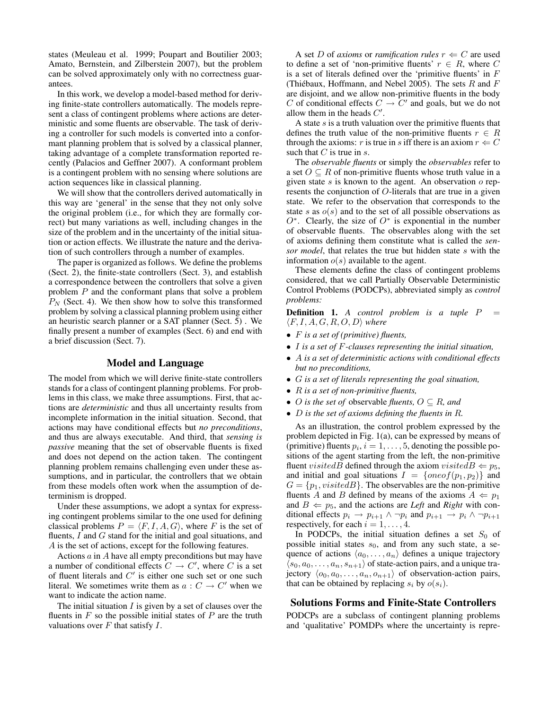states (Meuleau et al. 1999; Poupart and Boutilier 2003; Amato, Bernstein, and Zilberstein 2007), but the problem can be solved approximately only with no correctness guarantees.

In this work, we develop a model-based method for deriving finite-state controllers automatically. The models represent a class of contingent problems where actions are deterministic and some fluents are observable. The task of deriving a controller for such models is converted into a conformant planning problem that is solved by a classical planner, taking advantage of a complete transformation reported recently (Palacios and Geffner 2007). A conformant problem is a contingent problem with no sensing where solutions are action sequences like in classical planning.

We will show that the controllers derived automatically in this way are 'general' in the sense that they not only solve the original problem (i.e., for which they are formally correct) but many variations as well, including changes in the size of the problem and in the uncertainty of the initial situation or action effects. We illustrate the nature and the derivation of such controllers through a number of examples.

The paper is organized as follows. We define the problems (Sect. 2), the finite-state controllers (Sect. 3), and establish a correspondence between the controllers that solve a given problem P and the conformant plans that solve a problem  $P_N$  (Sect. 4). We then show how to solve this transformed problem by solving a classical planning problem using either an heuristic search planner or a SAT planner (Sect. 5) . We finally present a number of examples (Sect. 6) and end with a brief discussion (Sect. 7).

# Model and Language

The model from which we will derive finite-state controllers stands for a class of contingent planning problems. For problems in this class, we make three assumptions. First, that actions are *deterministic* and thus all uncertainty results from incomplete information in the initial situation. Second, that actions may have conditional effects but *no preconditions*, and thus are always executable. And third, that *sensing is passive* meaning that the set of observable fluents is fixed and does not depend on the action taken. The contingent planning problem remains challenging even under these assumptions, and in particular, the controllers that we obtain from these models often work when the assumption of determinism is dropped.

Under these assumptions, we adopt a syntax for expressing contingent problems similar to the one used for defining classical problems  $P = \langle F, I, A, G \rangle$ , where F is the set of fluents,  $I$  and  $G$  stand for the initial and goal situations, and A is the set of actions, except for the following features.

Actions  $a$  in  $A$  have all empty preconditions but may have a number of conditional effects  $C \rightarrow C'$ , where C is a set of fluent literals and  $C'$  is either one such set or one such literal. We sometimes write them as  $a: C \to C'$  when we want to indicate the action name.

The initial situation  $I$  is given by a set of clauses over the fluents in  $F$  so the possible initial states of  $P$  are the truth valuations over  $F$  that satisfy  $I$ .

A set D of *axioms* or *ramification rules*  $r \Leftarrow C$  are used to define a set of 'non-primitive fluents'  $r \in R$ , where C is a set of literals defined over the 'primitive fluents' in F (Thiébaux, Hoffmann, and Nebel 2005). The sets  $R$  and  $F$ are disjoint, and we allow non-primitive fluents in the body C of conditional effects  $C \rightarrow C'$  and goals, but we do not allow them in the heads  $C'$ .

A state  $s$  is a truth valuation over the primitive fluents that defines the truth value of the non-primitive fluents  $r \in R$ through the axioms: r is true in s iff there is an axiom  $r \leftarrow C$ such that  $C$  is true in  $s$ .

The *observable fluents* or simply the *observables* refer to a set  $O \subseteq R$  of non-primitive fluents whose truth value in a given state  $s$  is known to the agent. An observation  $o$  represents the conjunction of O-literals that are true in a given state. We refer to the observation that corresponds to the state s as  $o(s)$  and to the set of all possible observations as  $O^*$ . Clearly, the size of  $O^*$  is exponential in the number of observable fluents. The observables along with the set of axioms defining them constitute what is called the *sensor model*, that relates the true but hidden state s with the information  $o(s)$  available to the agent.

These elements define the class of contingent problems considered, that we call Partially Observable Deterministic Control Problems (PODCPs), abbreviated simply as *control problems:*

**Definition 1.** *A control problem is a tuple P* =  $\langle F, I, A, G, R, O, D \rangle$  *where* 

- F *is a set of (primitive) fluents,*
- I *is a set of* F*-clauses representing the initial situation,*
- A *is a set of deterministic actions with conditional effects but no preconditions,*
- G *is a set of literals representing the goal situation,*
- R *is a set of non-primitive fluents,*
- *O* is the set of observable *fluents*,  $O \subseteq R$ *, and*
- D *is the set of axioms defining the fluents in* R*.*

As an illustration, the control problem expressed by the problem depicted in Fig. 1(a), can be expressed by means of (primitive) fluents  $p_i$ ,  $i = 1, \ldots, 5$ , denoting the possible positions of the agent starting from the left, the non-primitive fluent *visitedB* defined through the axiom *visitedB*  $\Leftarrow$  p<sub>5</sub>, and initial and goal situations  $I = \{oneof(p_1, p_2)\}\$ and  $G = \{p_1, visitedB\}$ . The observables are the non-primitive fluents A and B defined by means of the axioms  $A \Leftarrow p_1$ and  $B \Leftarrow p_5$ , and the actions are *Left* and *Right* with conditional effects  $p_i \rightarrow p_{i+1} \land \neg p_i$  and  $p_{i+1} \rightarrow p_i \land \neg p_{i+1}$ respectively, for each  $i = 1, \ldots, 4$ .

In PODCPs, the initial situation defines a set  $S_0$  of possible initial states  $s_0$ , and from any such state, a sequence of actions  $\langle a_0, \ldots, a_n \rangle$  defines a unique trajectory  $\langle s_0, a_0, \ldots, a_n, s_{n+1} \rangle$  of state-action pairs, and a unique trajectory  $\langle o_0, a_0, \ldots, a_n, o_{n+1} \rangle$  of observation-action pairs, that can be obtained by replacing  $s_i$  by  $o(s_i)$ .

# Solutions Forms and Finite-State Controllers

PODCPs are a subclass of contingent planning problems and 'qualitative' POMDPs where the uncertainty is repre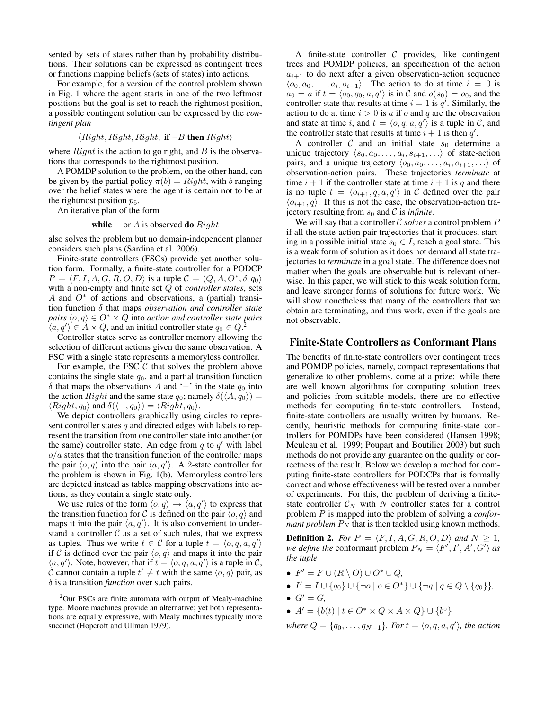sented by sets of states rather than by probability distributions. Their solutions can be expressed as contingent trees or functions mapping beliefs (sets of states) into actions.

For example, for a version of the control problem shown in Fig. 1 where the agent starts in one of the two leftmost positions but the goal is set to reach the rightmost position, a possible contingent solution can be expressed by the *contingent plan*

$$
\langle Right, Right, Right, if \neg B then Right \rangle
$$

where  $Right$  is the action to go right, and  $B$  is the observations that corresponds to the rightmost position.

A POMDP solution to the problem, on the other hand, can be given by the partial policy  $\pi(b) = Right$ , with b ranging over the belief states where the agent is certain not to be at the rightmost position  $p_5$ .

An iterative plan of the form

**while** 
$$
-
$$
 or  $A$  is observed **do** Right

also solves the problem but no domain-independent planner considers such plans (Sardina et al. 2006).

Finite-state controllers (FSCs) provide yet another solution form. Formally, a finite-state controller for a PODCP  $P = \langle F, I, A, G, R, O, D \rangle$  is a tuple  $C = \langle Q, A, O^*, \delta, q_0 \rangle$ with a non-empty and finite set Q of *controller states*, sets A and  $O^*$  of actions and observations, a (partial) transition function δ that maps *observation and controller state pairs*  $\langle o, q \rangle \in O^* \times Q$  into *action and controller state pairs*  $\langle a, q' \rangle \in A \times Q$ , and an initial controller state  $q_0 \in Q$ .

Controller states serve as controller memory allowing the selection of different actions given the same observation. A FSC with a single state represents a memoryless controller.

For example, the FSC  $C$  that solves the problem above contains the single state  $q_0$ , and a partial transition function  $\delta$  that maps the observations A and '−' in the state  $q_0$  into the action  $Right$  and the same state  $q_0$ ; namely  $\delta(\langle A, q_0 \rangle) =$  $\langle Right, q_0\rangle$  and  $\delta(\langle -, q_0\rangle) = \langle Right, q_0\rangle$ .

We depict controllers graphically using circles to represent controller states  $q$  and directed edges with labels to represent the transition from one controller state into another (or the same) controller state. An edge from  $q$  to  $q'$  with label  $o/a$  states that the transition function of the controller maps the pair  $\langle o, q \rangle$  into the pair  $\langle a, q' \rangle$ . A 2-state controller for the problem is shown in Fig. 1(b). Memoryless controllers are depicted instead as tables mapping observations into actions, as they contain a single state only.

We use rules of the form  $\langle o, q \rangle \rightarrow \langle a, q' \rangle$  to express that the transition function for C is defined on the pair  $\langle o, q \rangle$  and maps it into the pair  $\langle a, q' \rangle$ . It is also convenient to understand a controller  $\mathcal C$  as a set of such rules, that we express as tuples. Thus we write  $t \in C$  for a tuple  $t = \langle o, q, a, q' \rangle$ if C is defined over the pair  $\langle o, q \rangle$  and maps it into the pair  $\langle a, q' \rangle$ . Note, however, that if  $t = \langle o, q, a, q' \rangle$  is a tuple in C, C cannot contain a tuple  $t' \neq t$  with the same  $\langle o, q \rangle$  pair, as  $\delta$  is a transition *function* over such pairs.

A finite-state controller  $C$  provides, like contingent trees and POMDP policies, an specification of the action  $a_{i+1}$  to do next after a given observation-action sequence  $\langle o_0, a_0, \ldots, a_i, o_{i+1} \rangle$ . The action to do at time  $i = 0$  is  $a_0 = a$  if  $t = \langle o_0, q_0, a, q' \rangle$  is in C and  $o(s_0) = o_0$ , and the controller state that results at time  $i = 1$  is  $q'$ . Similarly, the action to do at time  $i > 0$  is a if o and q are the observation and state at time i, and  $t = \langle o, q, a, q' \rangle$  is a tuple in C, and the controller state that results at time  $i + 1$  is then  $q'$ .

A controller  $C$  and an initial state  $s_0$  determine a unique trajectory  $\langle s_0, a_0, \ldots, a_i, s_{i+1}, \ldots \rangle$  of state-action pairs, and a unique trajectory  $\langle o_0, a_0, \ldots, a_i, o_{i+1}, \ldots \rangle$  of observation-action pairs. These trajectories *terminate* at time  $i + 1$  if the controller state at time  $i + 1$  is q and there is no tuple  $t = \langle o_{i+1}, q, a, q' \rangle$  in C defined over the pair  $\langle o_{i+1}, q \rangle$ . If this is not the case, the observation-action trajectory resulting from  $s_0$  and C is *infinite*.

We will say that a controller  $C$  *solves* a control problem  $P$ if all the state-action pair trajectories that it produces, starting in a possible initial state  $s_0 \in I$ , reach a goal state. This is a weak form of solution as it does not demand all state trajectories to *terminate* in a goal state. The difference does not matter when the goals are observable but is relevant otherwise. In this paper, we will stick to this weak solution form, and leave stronger forms of solutions for future work. We will show nonetheless that many of the controllers that we obtain are terminating, and thus work, even if the goals are not observable.

### Finite-State Controllers as Conformant Plans

The benefits of finite-state controllers over contingent trees and POMDP policies, namely, compact representations that generalize to other problems, come at a prize: while there are well known algorithms for computing solution trees and policies from suitable models, there are no effective methods for computing finite-state controllers. Instead, finite-state controllers are usually written by humans. Recently, heuristic methods for computing finite-state controllers for POMDPs have been considered (Hansen 1998; Meuleau et al. 1999; Poupart and Boutilier 2003) but such methods do not provide any guarantee on the quality or correctness of the result. Below we develop a method for computing finite-state controllers for PODCPs that is formally correct and whose effectiveness will be tested over a number of experiments. For this, the problem of deriving a finitestate controller  $C_N$  with N controller states for a control problem P is mapped into the problem of solving a *conformant problem*  $P_N$  that is then tackled using known methods.

**Definition 2.** *For*  $P = \langle F, I, A, G, R, O, D \rangle$  *and*  $N \ge 1$ *, we define the* conformant problem  $P_N = \langle F', I', A', G' \rangle$  *as the tuple*

- $F' = F \cup (R \setminus O) \cup O^* \cup Q$ ,
- $I' = I \cup \{q_0\} \cup \{\neg o \mid o \in O^*\} \cup \{\neg q \mid q \in Q \setminus \{q_0\}\},\$
- $G' = G$ ,
- $A' = \{b(t) | t \in O^* \times Q \times A \times Q\} \cup \{b^\circ\}$

*where*  $Q = \{q_0, \ldots, q_{N-1}\}$ *. For*  $t = \langle o, q, a, q' \rangle$ *, the action* 

<sup>&</sup>lt;sup>2</sup>Our FSCs are finite automata with output of Mealy-machine type. Moore machines provide an alternative; yet both representations are equally expressive, with Mealy machines typically more succinct (Hopcroft and Ullman 1979).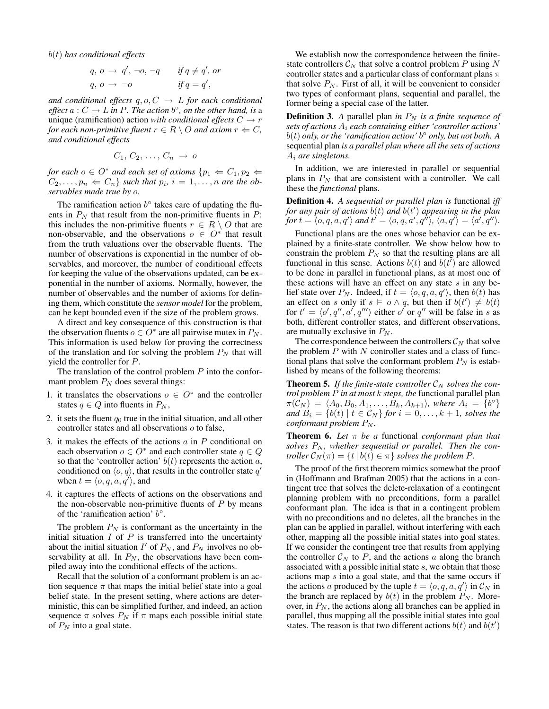b(t) *has conditional effects*

$$
q, o \rightarrow q', \neg o, \neg q
$$
 if  $q \neq q', or$   
 $q, o \rightarrow \neg o$  if  $q = q',$ 

*and conditional effects*  $q, o, C \rightarrow L$  *for each conditional effect*  $a: C \to L$  *in* P. The action  $b^{\circ}$ , *on the other hand, is* a unique (ramification) action *with conditional effects*  $C \rightarrow r$ *for each non-primitive fluent*  $r \in R \setminus O$  *and axiom*  $r \Leftarrow C$ *, and conditional effects*

$$
C_1, C_2, \ldots, C_n \rightarrow o
$$

*for each*  $o \in O^*$  *and each set of axioms*  $\{p_1 \leftarrow C_1, p_2 \leftarrow$  $C_2, \ldots, p_n \Leftarrow C_n$  *such that*  $p_i$ ,  $i = 1, \ldots, n$  *are the observables made true by* o*.*

The ramification action  $b^{\circ}$  takes care of updating the fluents in  $P_N$  that result from the non-primitive fluents in  $P$ : this includes the non-primitive fluents  $r \in R \setminus O$  that are non-observable, and the observations  $o \in O^*$  that result from the truth valuations over the observable fluents. The number of observations is exponential in the number of observables, and moreover, the number of conditional effects for keeping the value of the observations updated, can be exponential in the number of axioms. Normally, however, the number of observables and the number of axioms for defining them, which constitute the *sensor model* for the problem, can be kept bounded even if the size of the problem grows.

A direct and key consequence of this construction is that the observation fluents  $o \in O^*$  are all pairwise mutex in  $P_N$ . This information is used below for proving the correctness of the translation and for solving the problem  $P_N$  that will yield the controller for P.

The translation of the control problem  $P$  into the conformant problem  $P_N$  does several things:

- 1. it translates the observations  $o \in O^*$  and the controller states  $q \in Q$  into fluents in  $P_N$ ,
- 2. it sets the fluent  $q_0$  true in the initial situation, and all other controller states and all observations o to false,
- 3. it makes the effects of the actions  $a$  in  $P$  conditional on each observation  $o \in O^*$  and each controller state  $q \in Q$ so that the 'controller action'  $b(t)$  represents the action a, conditioned on  $\langle o, q \rangle$ , that results in the controller state q' when  $t = \langle o, q, a, q' \rangle$ , and
- 4. it captures the effects of actions on the observations and the non-observable non-primitive fluents of  $P$  by means of the 'ramification action'  $b^{\circ}$ .

The problem  $P_N$  is conformant as the uncertainty in the initial situation  $I$  of  $P$  is transferred into the uncertainty about the initial situation  $I'$  of  $P_N$ , and  $P_N$  involves no observability at all. In  $P_N$ , the observations have been compiled away into the conditional effects of the actions.

Recall that the solution of a conformant problem is an action sequence  $\pi$  that maps the initial belief state into a goal belief state. In the present setting, where actions are deterministic, this can be simplified further, and indeed, an action sequence  $\pi$  solves  $P_N$  if  $\pi$  maps each possible initial state of  $P_N$  into a goal state.

We establish now the correspondence between the finitestate controllers  $C_N$  that solve a control problem P using N controller states and a particular class of conformant plans  $\pi$ that solve  $P_N$ . First of all, it will be convenient to consider two types of conformant plans, sequential and parallel, the former being a special case of the latter.

**Definition 3.** A parallel plan *in*  $P_N$  *is a finite sequence of sets of actions* A<sup>i</sup> *each containing either 'controller actions'* b(t) *only, or the 'ramification action'* b ◦ *only, but not both. A* sequential plan *is a parallel plan where all the sets of actions* A<sup>i</sup> *are singletons.*

In addition, we are interested in parallel or sequential plans in  $P<sub>N</sub>$  that are consistent with a controller. We call these the *functional* plans.

Definition 4. *A sequential or parallel plan is* functional *iff for any pair of actions* b(t) *and* b(t 0 ) *appearing in the plan* for  $t = \langle o, q, a, q' \rangle$  and  $t' = \langle o, q, a', q'' \rangle$ ,  $\langle a, q' \rangle = \langle a', q'' \rangle$ .

Functional plans are the ones whose behavior can be explained by a finite-state controller. We show below how to constrain the problem  $P_N$  so that the resulting plans are all functional in this sense. Actions  $b(t)$  and  $b(t^{\tau})$  are allowed to be done in parallel in functional plans, as at most one of these actions will have an effect on any state  $s$  in any belief state over  $P_N$ . Indeed, if  $t = \langle o, q, a, q' \rangle$ , then  $b(t)$  has an effect on s only if  $s \vDash o \land q$ , but then if  $b(t') \neq b(t)$ for  $t' = \langle o', q'', a', q''' \rangle$  either  $o'$  or  $q''$  will be false in s as both, different controller states, and different observations, are mutually exclusive in  $P_N$ .

The correspondence between the controllers  $\mathcal{C}_N$  that solve the problem  $P$  with  $N$  controller states and a class of functional plans that solve the conformant problem  $P_N$  is established by means of the following theorems:

**Theorem 5.** If the finite-state controller  $C_N$  solves the con*trol problem* P *in at most* k *steps, the* functional parallel plan  $\pi(\tilde{\mathcal{C}}_N) \,=\, \langle A_0, B_0, A_1, \ldots, B_k, A_{k+1}\rangle, \text{ where } A_i \,=\, \{b^\circ\}$ *and*  $B_i = \{b(t) \mid t \in C_N\}$  *for*  $i = 0, \ldots, k + 1$ *, solves the conformant problem*  $P_N$ *.* 

Theorem 6. *Let* π *be a* functional *conformant plan that* solves  $P_N$ , whether sequential or parallel. Then the con*troller*  $\mathcal{C}_N(\pi) = \{t \mid b(t) \in \pi\}$  *solves the problem P.* 

The proof of the first theorem mimics somewhat the proof in (Hoffmann and Brafman 2005) that the actions in a contingent tree that solves the delete-relaxation of a contingent planning problem with no preconditions, form a parallel conformant plan. The idea is that in a contingent problem with no preconditions and no deletes, all the branches in the plan can be applied in parallel, without interfering with each other, mapping all the possible initial states into goal states. If we consider the contingent tree that results from applying the controller  $\mathcal{C}_N$  to P, and the actions a along the branch associated with a possible initial state s, we obtain that those actions map s into a goal state, and that the same occurs if the actions a produced by the tuple  $t = \langle o, q, a, q' \rangle$  in  $\mathcal{C}_N$  in the branch are replaced by  $b(t)$  in the problem  $P_N$ . Moreover, in  $P_N$ , the actions along all branches can be applied in parallel, thus mapping all the possible initial states into goal states. The reason is that two different actions  $b(t)$  and  $\overline{b(t')}$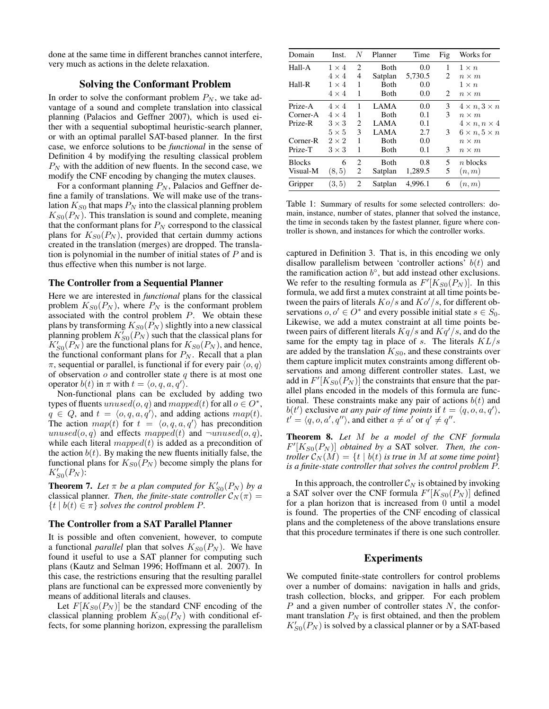done at the same time in different branches cannot interfere, very much as actions in the delete relaxation.

# Solving the Conformant Problem

In order to solve the conformant problem  $P_N$ , we take advantage of a sound and complete translation into classical planning (Palacios and Geffner 2007), which is used either with a sequential suboptimal heuristic-search planner, or with an optimal parallel SAT-based planner. In the first case, we enforce solutions to be *functional* in the sense of Definition 4 by modifying the resulting classical problem  $P_N$  with the addition of new fluents. In the second case, we modify the CNF encoding by changing the mutex clauses.

For a conformant planning  $P_N$ , Palacios and Geffner define a family of translations. We will make use of the translation  $K_{S0}$  that maps  $P_N$  into the classical planning problem  $K_{S0}(P_N)$ . This translation is sound and complete, meaning that the conformant plans for  $P_N$  correspond to the classical plans for  $K_{S0}(P_N)$ , provided that certain dummy actions created in the translation (merges) are dropped. The translation is polynomial in the number of initial states of  $P$  and is thus effective when this number is not large.

### The Controller from a Sequential Planner

Here we are interested in *functional* plans for the classical problem  $K_{S0}(P_N)$ , where  $P_N$  is the conformant problem associated with the control problem  $P$ . We obtain these plans by transforming  $K_{S0}(P_N)$  slightly into a new classical planning problem  $K_{S0}(\overline{P_N})$  such that the classical plans for  $K'_{S0}(P_N)$  are the functional plans for  $K_{S0}(P_N)$ , and hence, the functional conformant plans for  $P_N$ . Recall that a plan π, sequential or parallel, is functional if for every pair  $\langle o, q \rangle$ of observation  $o$  and controller state  $q$  there is at most one operator  $b(t)$  in  $\pi$  with  $t = \langle o, q, a, q \rangle$ .

Non-functional plans can be excluded by adding two types of fluents  $unused(o, q)$  and  $mapped(t)$  for all  $o \in O^*$ ,  $q \in Q$ , and  $t = \langle o, q, a, q' \rangle$ , and adding actions  $map(t)$ . The action  $map(t)$  for  $t = \langle o, q, a, q' \rangle$  has precondition unused(o, q) and effects mapped(t) and  $\neg$ unused(o, q), while each literal  $mapped(t)$  is added as a precondition of the action  $b(t)$ . By making the new fluents initially false, the functional plans for  $K_{S0}(P_N)$  become simply the plans for  $K'_{S0}(P_N)$ :

**Theorem 7.** Let  $\pi$  be a plan computed for  $K'_{S0}(P_N)$  by a classical planner. Then, the finite-state controller  $C_N(\pi)$  =  ${t | b(t) \in \pi}$  *solves the control problem P.* 

### The Controller from a SAT Parallel Planner

It is possible and often convenient, however, to compute a functional *parallel* plan that solves  $K_{S0}(P_N)$ . We have found it useful to use a SAT planner for computing such plans (Kautz and Selman 1996; Hoffmann et al. 2007). In this case, the restrictions ensuring that the resulting parallel plans are functional can be expressed more conveniently by means of additional literals and clauses.

Let  $F[K_{S0}(P_N)]$  be the standard CNF encoding of the classical planning problem  $K_{S0}(P_N)$  with conditional effects, for some planning horizon, expressing the parallelism

| Domain                 | Inst.        | N              | Planner     | Time    | Fig | Works for                   |  |
|------------------------|--------------|----------------|-------------|---------|-----|-----------------------------|--|
| Hall-A<br>$1 \times 4$ |              | $\overline{c}$ | Both        | 0.0     | 1   | $1 \times n$                |  |
|                        | $4 \times 4$ | 4              | Satplan     | 5,730.5 | 2   | $n \times m$                |  |
| Hall-R                 | $1 \times 4$ | 1              | Both        | 0.0     |     | $1 \times n$                |  |
|                        | $4 \times 4$ | 1              | Both        | 0.0     | 2   | $n \times m$                |  |
| Prize-A                | $4 \times 4$ | 1              | <b>LAMA</b> | 0.0     | 3   | $4 \times n$ , $3 \times n$ |  |
| Corner-A               | $4 \times 4$ | 1              | Both        | 0.1     | 3   | $n \times m$                |  |
| Prize-R                | $3 \times 3$ | 2              | <b>LAMA</b> | 0.1     |     | $4 \times n, n \times 4$    |  |
|                        | $5 \times 5$ | 3              | LAMA        | 2.7     | 3   | $6 \times n, 5 \times n$    |  |
| Corner-R               | $2 \times 2$ | 1              | <b>Both</b> | 0.0     |     | $n \times m$                |  |
| Prize-T                | $3 \times 3$ | 1              | <b>Both</b> | 0.1     | 3   | $n \times m$                |  |
| <b>Blocks</b>          | 6            | 2              | Both        | 0.8     | 5   | $n$ blocks                  |  |
| Visual-M               | (8, 5)       | 2              | Satplan     | 1,289.5 | 5   | (n, m)                      |  |
| Gripper                | (3, 5)       | 2              | Satplan     | 4.996.1 | 6   | (n, m)                      |  |

Table 1: Summary of results for some selected controllers: domain, instance, number of states, planner that solved the instance, the time in seconds taken by the fastest planner, figure where controller is shown, and instances for which the controller works.

captured in Definition 3. That is, in this encoding we only disallow parallelism between 'controller actions'  $b(t)$  and the ramification action  $b^{\circ}$ , but add instead other exclusions. We refer to the resulting formula as  $F'[K_{S0}(P_N)]$ . In this formula, we add first a mutex constraint at all time points between the pairs of literals  $Ko/s$  and  $Ko'/s$ , for different observations  $o, o' \in O^*$  and every possible initial state  $s \in S_0$ . Likewise, we add a mutex constraint at all time points between pairs of different literals  $Kq/s$  and  $Kq'/s$ , and do the same for the empty tag in place of s. The literals  $KL/s$ are added by the translation  $K_{S0}$ , and these constraints over them capture implicit mutex constraints among different observations and among different controller states. Last, we add in  $F'[K_{S0}(P_N)]$  the constraints that ensure that the parallel plans encoded in the models of this formula are functional. These constraints make any pair of actions  $b(t)$  and  $b(t')$  exclusive *at any pair of time points* if  $t = \langle q, o, a, q' \rangle$ ,  $t' = \langle q, o, a', q'' \rangle$ , and either  $a \neq a'$  or  $q' \neq q''$ .

Theorem 8. *Let* M *be a model of the CNF formula*  $F'[K_{S0}(P_N)]$  *obtained by a* SAT solver. Then, the con*troller*  $C_N(M) = \{t \mid b(t)$  *is true in* M *at some time point*} *is a finite-state controller that solves the control problem* P*.*

In this approach, the controller  $\mathcal{C}_N$  is obtained by invoking a SAT solver over the CNF formula  $F'[K_{S0}(P_N)]$  defined for a plan horizon that is increased from 0 until a model is found. The properties of the CNF encoding of classical plans and the completeness of the above translations ensure that this procedure terminates if there is one such controller.

# Experiments

We computed finite-state controllers for control problems over a number of domains: navigation in halls and grids, trash collection, blocks, and gripper. For each problem  $P$  and a given number of controller states  $N$ , the conformant translation  $P_N$  is first obtained, and then the problem  $K'_{S0}(P_N)$  is solved by a classical planner or by a SAT-based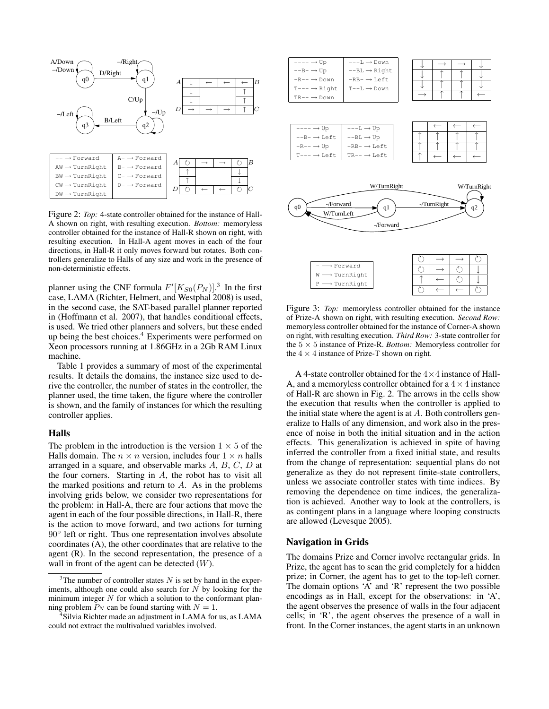

Figure 2: *Top:* 4-state controller obtained for the instance of Hall-A shown on right, with resulting execution. *Bottom:* memoryless controller obtained for the instance of Hall-R shown on right, with resulting execution. In Hall-A agent moves in each of the four directions, in Hall-R it only moves forward but rotates. Both controllers generalize to Halls of any size and work in the presence of non-deterministic effects.

planner using the CNF formula  $F'[K_{S0}(P_N)]$ <sup>3</sup>. In the first case, LAMA (Richter, Helmert, and Westphal 2008) is used, in the second case, the SAT-based parallel planner reported in (Hoffmann et al. 2007), that handles conditional effects, is used. We tried other planners and solvers, but these ended up being the best choices.<sup>4</sup> Experiments were performed on Xeon processors running at 1.86GHz in a 2Gb RAM Linux machine.

Table 1 provides a summary of most of the experimental results. It details the domains, the instance size used to derive the controller, the number of states in the controller, the planner used, the time taken, the figure where the controller is shown, and the family of instances for which the resulting controller applies.

### Halls

The problem in the introduction is the version  $1 \times 5$  of the Halls domain. The  $n \times n$  version, includes four  $1 \times n$  halls arranged in a square, and observable marks A, B, C, D at the four corners. Starting in A, the robot has to visit all the marked positions and return to  $A$ . As in the problems involving grids below, we consider two representations for the problem: in Hall-A, there are four actions that move the agent in each of the four possible directions, in Hall-R, there is the action to move forward, and two actions for turning 90<sup>°</sup> left or right. Thus one representation involves absolute coordinates (A), the other coordinates that are relative to the agent (R). In the second representation, the presence of a wall in front of the agent can be detected  $(W)$ .



Figure 3: *Top:* memoryless controller obtained for the instance of Prize-A shown on right, with resulting execution. *Second Row:* memoryless controller obtained for the instance of Corner-A shown on right, with resulting execution. *Third Row:* 3-state controller for the 5 × 5 instance of Prize-R. *Bottom:* Memoryless controller for the  $4 \times 4$  instance of Prize-T shown on right.

 $\circ$   $\overline{\circ}$   $\overline{\circ}$   $\overline{\circ}$   $\overline{\circ}$   $\overline{\circ}$   $\overline{\circ}$   $\overline{\circ}$   $\overline{\circ}$   $\overline{\circ}$   $\overline{\circ}$   $\overline{\circ}$   $\overline{\circ}$   $\overline{\circ}$   $\overline{\circ}$   $\overline{\circ}$   $\overline{\circ}$   $\overline{\circ}$   $\overline{\circ}$   $\overline{\circ}$   $\overline{\circ}$   $\overline{\circ}$   $\overline{\circ}$   $\overline{\circ}$   $\overline{\circ}$ 

A 4-state controller obtained for the  $4 \times 4$  instance of Hall-A, and a memoryless controller obtained for a  $4 \times 4$  instance of Hall-R are shown in Fig. 2. The arrows in the cells show the execution that results when the controller is applied to the initial state where the agent is at  $A$ . Both controllers generalize to Halls of any dimension, and work also in the presence of noise in both the initial situation and in the action effects. This generalization is achieved in spite of having inferred the controller from a fixed initial state, and results from the change of representation: sequential plans do not generalize as they do not represent finite-state controllers, unless we associate controller states with time indices. By removing the dependence on time indices, the generalization is achieved. Another way to look at the controllers, is as contingent plans in a language where looping constructs are allowed (Levesque 2005).

#### Navigation in Grids

The domains Prize and Corner involve rectangular grids. In Prize, the agent has to scan the grid completely for a hidden prize; in Corner, the agent has to get to the top-left corner. The domain options 'A' and 'R' represent the two possible encodings as in Hall, except for the observations: in 'A', the agent observes the presence of walls in the four adjacent cells; in 'R', the agent observes the presence of a wall in front. In the Corner instances, the agent starts in an unknown

 $3$ The number of controller states N is set by hand in the experiments, although one could also search for  $N$  by looking for the minimum integer  $N$  for which a solution to the conformant planning problem  $P_N$  can be found starting with  $N = 1$ .

<sup>4</sup> Silvia Richter made an adjustment in LAMA for us, as LAMA could not extract the multivalued variables involved.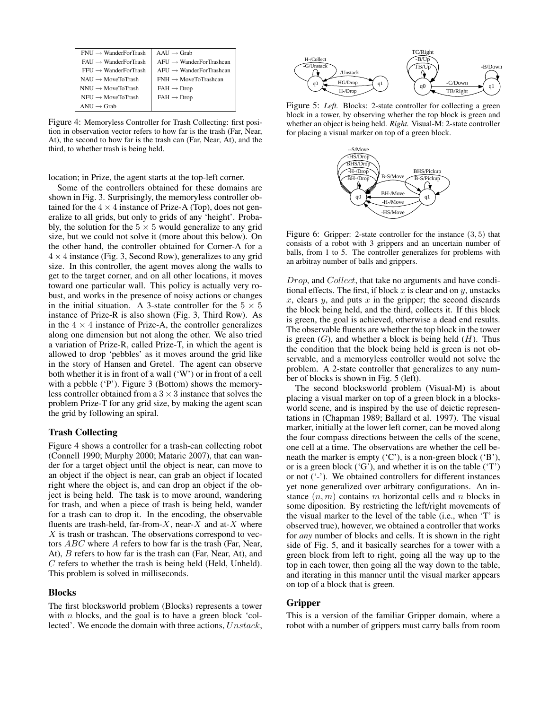| $FNIJ \rightarrow WanderForTrack$ | $A A I J \rightarrow Gra b$          |
|-----------------------------------|--------------------------------------|
| $FAU \rightarrow WanderForTrack$  | $AFU \rightarrow WanderFor Trashcan$ |
| $FFU \rightarrow$ WanderForTrash  | $AFU \rightarrow WanderFor Trashcan$ |
| $NAIJ \rightarrow MoveToTrash$    | $FNH \rightarrow MoveToTrashcan$     |
| $NNU \rightarrow MoveToTask$      | $FAH \rightarrow Drop$               |
| $NFU \rightarrow MoveToTrack$     | $FAH \rightarrow Drop$               |
| $ANU \rightarrow$ Grab            |                                      |

Figure 4: Memoryless Controller for Trash Collecting: first position in observation vector refers to how far is the trash (Far, Near, At), the second to how far is the trash can (Far, Near, At), and the third, to whether trash is being held.

location; in Prize, the agent starts at the top-left corner.

Some of the controllers obtained for these domains are shown in Fig. 3. Surprisingly, the memoryless controller obtained for the  $4 \times 4$  instance of Prize-A (Top), does not generalize to all grids, but only to grids of any 'height'. Probably, the solution for the  $5 \times 5$  would generalize to any grid size, but we could not solve it (more about this below). On the other hand, the controller obtained for Corner-A for a  $4 \times 4$  instance (Fig. 3, Second Row), generalizes to any grid size. In this controller, the agent moves along the walls to get to the target corner, and on all other locations, it moves toward one particular wall. This policy is actually very robust, and works in the presence of noisy actions or changes in the initial situation. A 3-state controller for the  $5 \times 5$ instance of Prize-R is also shown (Fig. 3, Third Row). As in the  $4 \times 4$  instance of Prize-A, the controller generalizes along one dimension but not along the other. We also tried a variation of Prize-R, called Prize-T, in which the agent is allowed to drop 'pebbles' as it moves around the grid like in the story of Hansen and Gretel. The agent can observe both whether it is in front of a wall ('W') or in front of a cell with a pebble ('P'). Figure 3 (Bottom) shows the memoryless controller obtained from a  $3 \times 3$  instance that solves the problem Prize-T for any grid size, by making the agent scan the grid by following an spiral.

### Trash Collecting

Figure 4 shows a controller for a trash-can collecting robot (Connell 1990; Murphy 2000; Mataric 2007), that can wander for a target object until the object is near, can move to an object if the object is near, can grab an object if located right where the object is, and can drop an object if the object is being held. The task is to move around, wandering for trash, and when a piece of trash is being held, wander for a trash can to drop it. In the encoding, the observable fluents are trash-held, far-from- $X$ , near- $X$  and at- $X$  where  $X$  is trash or trashcan. The observations correspond to vectors ABC where A refers to how far is the trash (Far, Near, At), B refers to how far is the trash can (Far, Near, At), and C refers to whether the trash is being held (Held, Unheld). This problem is solved in milliseconds.

### Blocks

The first blocksworld problem (Blocks) represents a tower with  $n$  blocks, and the goal is to have a green block 'collected'. We encode the domain with three actions, Unstack,



Figure 5: *Left.* Blocks: 2-state controller for collecting a green block in a tower, by observing whether the top block is green and whether an object is being held. *Right.* Visual-M: 2-state controller for placing a visual marker on top of a green block.



Figure 6: Gripper: 2-state controller for the instance (3, 5) that consists of a robot with 3 grippers and an uncertain number of balls, from 1 to 5. The controller generalizes for problems with an arbitray number of balls and grippers.

Drop, and Collect, that take no arguments and have conditional effects. The first, if block  $x$  is clear and on  $y$ , unstacks  $x$ , clears  $y$ , and puts  $x$  in the gripper; the second discards the block being held, and the third, collects it. If this block is green, the goal is achieved, otherwise a dead end results. The observable fluents are whether the top block in the tower is green  $(G)$ , and whether a block is being held  $(H)$ . Thus the condition that the block being held is green is not observable, and a memoryless controller would not solve the problem. A 2-state controller that generalizes to any number of blocks is shown in Fig. 5 (left).

The second blocksworld problem (Visual-M) is about placing a visual marker on top of a green block in a blocksworld scene, and is inspired by the use of deictic representations in (Chapman 1989; Ballard et al. 1997). The visual marker, initially at the lower left corner, can be moved along the four compass directions between the cells of the scene, one cell at a time. The observations are whether the cell beneath the marker is empty ('C'), is a non-green block ('B'), or is a green block  $({}^{\circ}G'$ ), and whether it is on the table  $({}^{\circ}T'$ ) or not ('-'). We obtained controllers for different instances yet none generalized over arbitrary configurations. An instance  $(n, m)$  contains m horizontal cells and n blocks in some diposition. By restricting the left/right movements of the visual marker to the level of the table (i.e., when 'T' is observed true), however, we obtained a controller that works for *any* number of blocks and cells. It is shown in the right side of Fig. 5, and it basically searches for a tower with a green block from left to right, going all the way up to the top in each tower, then going all the way down to the table, and iterating in this manner until the visual marker appears on top of a block that is green.

### Gripper

This is a version of the familiar Gripper domain, where a robot with a number of grippers must carry balls from room